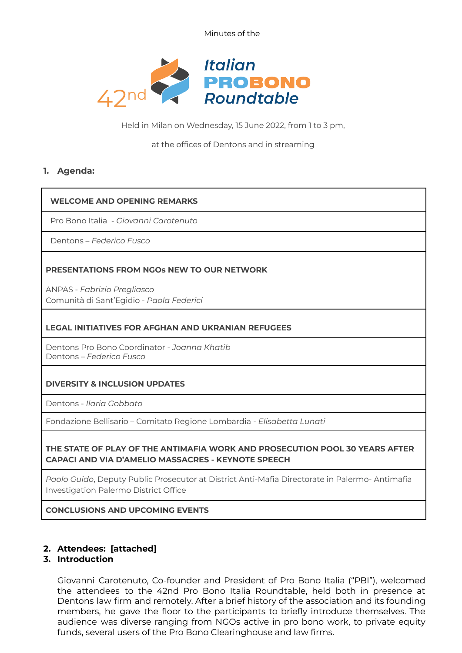Minutes of the



Held in Milan on Wednesday, 15 June 2022, from 1 to 3 pm,

#### at the offices of Dentons and in streaming

## **1. Agenda:**

### **WELCOME AND OPENING REMARKS**

Pro Bono Italia - *Giovanni Carotenuto*

Dentons – *Federico Fusco*

### **PRESENTATIONS FROM NGOs NEW TO OUR NETWORK**

ANPAS - *Fabrizio Pregliasco* Comunità di Sant'Egidio - *Paola Federici*

### **LEGAL INITIATIVES FOR AFGHAN AND UKRANIAN REFUGEES**

Dentons Pro Bono Coordinator - *Joanna Khatib* Dentons – *Federico Fusco*

### **DIVERSITY & INCLUSION UPDATES**

Dentons - *Ilaria Gobbato*

Fondazione Bellisario – Comitato Regione Lombardia - *Elisabetta Lunati*

### **THE STATE OF PLAY OF THE ANTIMAFIA WORK AND PROSECUTION POOL 30 YEARS AFTER CAPACI AND VIA D'AMELIO MASSACRES - KEYNOTE SPEECH**

*Paolo Guido*, Deputy Public Prosecutor at District Anti-Mafia Directorate in Palermo- Antimafia Investigation Palermo District Office

**CONCLUSIONS AND UPCOMING EVENTS**

### **2. Attendees: [attached]**

# **3. Introduction**

Giovanni Carotenuto, Co-founder and President of Pro Bono Italia ("PBI"), welcomed the attendees to the 42nd Pro Bono Italia Roundtable, held both in presence at Dentons law firm and remotely. After a brief history of the association and its founding members, he gave the floor to the participants to briefly introduce themselves. The audience was diverse ranging from NGOs active in pro bono work, to private equity funds, several users of the Pro Bono Clearinghouse and law firms.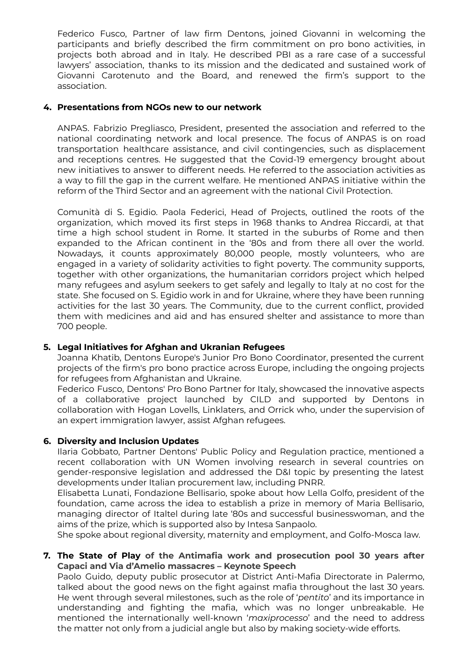Federico Fusco, Partner of law firm Dentons, joined Giovanni in welcoming the participants and briefly described the firm commitment on pro bono activities, in projects both abroad and in Italy. He described PBI as a rare case of a successful lawyers' association, thanks to its mission and the dedicated and sustained work of Giovanni Carotenuto and the Board, and renewed the firm's support to the association.

## **4. Presentations from NGOs new to our network**

ANPAS. Fabrizio Pregliasco, President, presented the association and referred to the national coordinating network and local presence. The focus of ANPAS is on road transportation healthcare assistance, and civil contingencies, such as displacement and receptions centres. He suggested that the Covid-19 emergency brought about new initiatives to answer to different needs. He referred to the association activities as a way to fill the gap in the current welfare. He mentioned ANPAS initiative within the reform of the Third Sector and an agreement with the national Civil Protection.

Comunità di S. Egidio. Paola Federici, Head of Projects, outlined the roots of the organization, which moved its first steps in 1968 thanks to Andrea Riccardi, at that time a high school student in Rome. It started in the suburbs of Rome and then expanded to the African continent in the '80s and from there all over the world. Nowadays, it counts approximately 80,000 people, mostly volunteers, who are engaged in a variety of solidarity activities to fight poverty. The community supports, together with other organizations, the humanitarian corridors project which helped many refugees and asylum seekers to get safely and legally to Italy at no cost for the state. She focused on S. Egidio work in and for Ukraine, where they have been running activities for the last 30 years. The Community, due to the current conflict, provided them with medicines and aid and has ensured shelter and assistance to more than 700 people.

# **5. Legal Initiatives for Afghan and Ukranian Refugees**

Joanna Khatib, Dentons Europe's Junior Pro Bono Coordinator, presented the current projects of the firm's pro bono practice across Europe, including the ongoing projects for refugees from Afghanistan and Ukraine.

Federico Fusco, Dentons' Pro Bono Partner for Italy, showcased the innovative aspects of a collaborative project launched by CILD and supported by Dentons in collaboration with Hogan Lovells, Linklaters, and Orrick who, under the supervision of an expert immigration lawyer, assist Afghan refugees.

# **6. Diversity and Inclusion Updates**

Ilaria Gobbato, Partner Dentons' Public Policy and Regulation practice, mentioned a recent collaboration with UN Women involving research in several countries on gender-responsive legislation and addressed the D&I topic by presenting the latest developments under Italian procurement law, including PNRR.

Elisabetta Lunati, Fondazione Bellisario, spoke about how Lella Golfo, president of the foundation, came across the idea to establish a prize in memory of Maria Bellisario, managing director of Italtel during late '80s and successful businesswoman, and the aims of the prize, which is supported also by Intesa Sanpaolo.

She spoke about regional diversity, maternity and employment, and Golfo-Mosca law.

## **7. The State of Play of the Antimafia work and prosecution pool 30 years after Capaci and Via d'Amelio massacres – Keynote Speech**

Paolo Guido, deputy public prosecutor at District Anti-Mafia Directorate in Palermo, talked about the good news on the fight against mafia throughout the last 30 years. He went through several milestones, such as the role of '*pentito*' and its importance in understanding and fighting the mafia, which was no longer unbreakable. He mentioned the internationally well-known '*maxiprocesso*' and the need to address the matter not only from a judicial angle but also by making society-wide efforts.